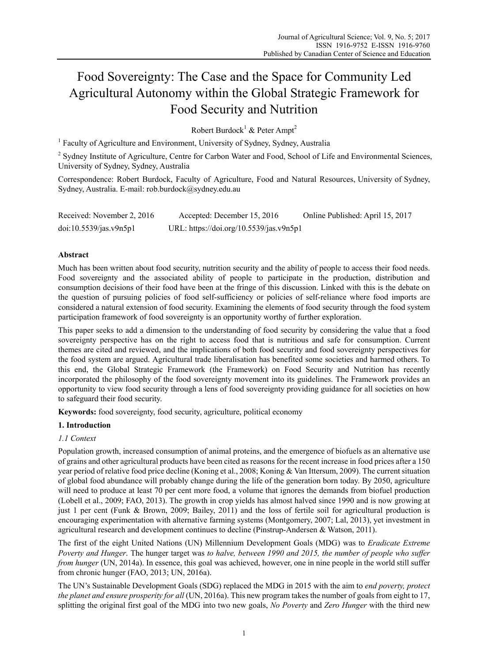# Food Sovereignty: The Case and the Space for Community Led Agricultural Autonomy within the Global Strategic Framework for Food Security and Nutrition

Robert Burdock<sup>1</sup> & Peter Ampt<sup>2</sup>

<sup>1</sup> Faculty of Agriculture and Environment, University of Sydney, Sydney, Australia

<sup>2</sup> Sydney Institute of Agriculture, Centre for Carbon Water and Food, School of Life and Environmental Sciences, University of Sydney, Sydney, Australia

Correspondence: Robert Burdock, Faculty of Agriculture, Food and Natural Resources, University of Sydney, Sydney, Australia. E-mail: rob.burdock@sydney.edu.au

| Received: November 2, 2016 | Accepted: December 15, 2016             | Online Published: April 15, 2017 |
|----------------------------|-----------------------------------------|----------------------------------|
| doi:10.5539/jas.v9n5p1     | URL: https://doi.org/10.5539/jas.v9n5p1 |                                  |

# **Abstract**

Much has been written about food security, nutrition security and the ability of people to access their food needs. Food sovereignty and the associated ability of people to participate in the production, distribution and consumption decisions of their food have been at the fringe of this discussion. Linked with this is the debate on the question of pursuing policies of food self-sufficiency or policies of self-reliance where food imports are considered a natural extension of food security. Examining the elements of food security through the food system participation framework of food sovereignty is an opportunity worthy of further exploration.

This paper seeks to add a dimension to the understanding of food security by considering the value that a food sovereignty perspective has on the right to access food that is nutritious and safe for consumption. Current themes are cited and reviewed, and the implications of both food security and food sovereignty perspectives for the food system are argued. Agricultural trade liberalisation has benefited some societies and harmed others. To this end, the Global Strategic Framework (the Framework) on Food Security and Nutrition has recently incorporated the philosophy of the food sovereignty movement into its guidelines. The Framework provides an opportunity to view food security through a lens of food sovereignty providing guidance for all societies on how to safeguard their food security.

**Keywords:** food sovereignty, food security, agriculture, political economy

# **1. Introduction**

# *1.1 Context*

Population growth, increased consumption of animal proteins, and the emergence of biofuels as an alternative use of grains and other agricultural products have been cited as reasons for the recent increase in food prices after a 150 year period of relative food price decline (Koning et al., 2008; Koning & Van Ittersum, 2009). The current situation of global food abundance will probably change during the life of the generation born today. By 2050, agriculture will need to produce at least 70 per cent more food, a volume that ignores the demands from biofuel production (Lobell et al., 2009; FAO, 2013). The growth in crop yields has almost halved since 1990 and is now growing at just 1 per cent (Funk & Brown, 2009; Bailey, 2011) and the loss of fertile soil for agricultural production is encouraging experimentation with alternative farming systems (Montgomery, 2007; Lal, 2013), yet investment in agricultural research and development continues to decline (Pinstrup-Andersen & Watson, 2011).

The first of the eight United Nations (UN) Millennium Development Goals (MDG) was to *Eradicate Extreme Poverty and Hunger*. The hunger target was *to halve, between 1990 and 2015, the number of people who suffer from hunger* (UN, 2014a). In essence, this goal was achieved, however, one in nine people in the world still suffer from chronic hunger (FAO, 2013; UN, 2016a).

The UN's Sustainable Development Goals (SDG) replaced the MDG in 2015 with the aim to *end poverty, protect the planet and ensure prosperity for all* (UN, 2016a). This new program takes the number of goals from eight to 17, splitting the original first goal of the MDG into two new goals, *No Poverty* and *Zero Hunger* with the third new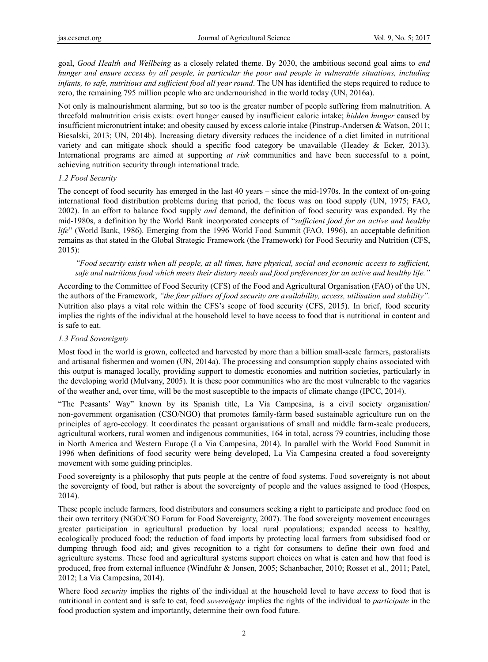goal, *Good Health and Wellbeing* as a closely related theme. By 2030, the ambitious second goal aims to *end hunger and ensure access by all people, in particular the poor and people in vulnerable situations, including infants, to safe, nutritious and sufficient food all year round*. The UN has identified the steps required to reduce to zero, the remaining 795 million people who are undernourished in the world today (UN, 2016a).

Not only is malnourishment alarming, but so too is the greater number of people suffering from malnutrition. A threefold malnutrition crisis exists: overt hunger caused by insufficient calorie intake; *hidden hunger* caused by insufficient micronutrient intake; and obesity caused by excess calorie intake (Pinstrup-Andersen & Watson, 2011; Biesalski, 2013; UN, 2014b). Increasing dietary diversity reduces the incidence of a diet limited in nutritional variety and can mitigate shock should a specific food category be unavailable (Headey & Ecker, 2013). International programs are aimed at supporting *at risk* communities and have been successful to a point, achieving nutrition security through international trade.

#### *1.2 Food Security*

The concept of food security has emerged in the last 40 years – since the mid-1970s. In the context of on-going international food distribution problems during that period, the focus was on food supply (UN, 1975; FAO, 2002). In an effort to balance food supply *and* demand, the definition of food security was expanded. By the mid-1980s, a definition by the World Bank incorporated concepts of "*sufficient food for an active and healthy life*" (World Bank, 1986). Emerging from the 1996 World Food Summit (FAO, 1996), an acceptable definition remains as that stated in the Global Strategic Framework (the Framework) for Food Security and Nutrition (CFS, 2015):

*"Food security exists when all people, at all times, have physical, social and economic access to sufficient, safe and nutritious food which meets their dietary needs and food preferences for an active and healthy life."*

According to the Committee of Food Security (CFS) of the Food and Agricultural Organisation (FAO) of the UN, the authors of the Framework, *"the four pillars of food security are availability, access, utilisation and stability"*. Nutrition also plays a vital role within the CFS's scope of food security (CFS, 2015). In brief, food security implies the rights of the individual at the household level to have access to food that is nutritional in content and is safe to eat.

# *1.3 Food Sovereignty*

Most food in the world is grown, collected and harvested by more than a billion small-scale farmers, pastoralists and artisanal fishermen and women (UN, 2014a). The processing and consumption supply chains associated with this output is managed locally, providing support to domestic economies and nutrition societies, particularly in the developing world (Mulvany, 2005). It is these poor communities who are the most vulnerable to the vagaries of the weather and, over time, will be the most susceptible to the impacts of climate change (IPCC, 2014).

"The Peasants' Way" known by its Spanish title, La Via Campesina, is a civil society organisation/ non-government organisation (CSO/NGO) that promotes family-farm based sustainable agriculture run on the principles of agro-ecology. It coordinates the peasant organisations of small and middle farm-scale producers, agricultural workers, rural women and indigenous communities, 164 in total, across 79 countries, including those in North America and Western Europe (La Via Campesina, 2014). In parallel with the World Food Summit in 1996 when definitions of food security were being developed, La Via Campesina created a food sovereignty movement with some guiding principles.

Food sovereignty is a philosophy that puts people at the centre of food systems. Food sovereignty is not about the sovereignty of food, but rather is about the sovereignty of people and the values assigned to food (Hospes, 2014).

These people include farmers, food distributors and consumers seeking a right to participate and produce food on their own territory (NGO/CSO Forum for Food Sovereignty, 2007). The food sovereignty movement encourages greater participation in agricultural production by local rural populations; expanded access to healthy, ecologically produced food; the reduction of food imports by protecting local farmers from subsidised food or dumping through food aid; and gives recognition to a right for consumers to define their own food and agriculture systems. These food and agricultural systems support choices on what is eaten and how that food is produced, free from external influence (Windfuhr & Jonsen, 2005; Schanbacher, 2010; Rosset et al., 2011; Patel, 2012; La Via Campesina, 2014).

Where food *security* implies the rights of the individual at the household level to have *access* to food that is nutritional in content and is safe to eat, food *sovereignty* implies the rights of the individual to *participate* in the food production system and importantly, determine their own food future.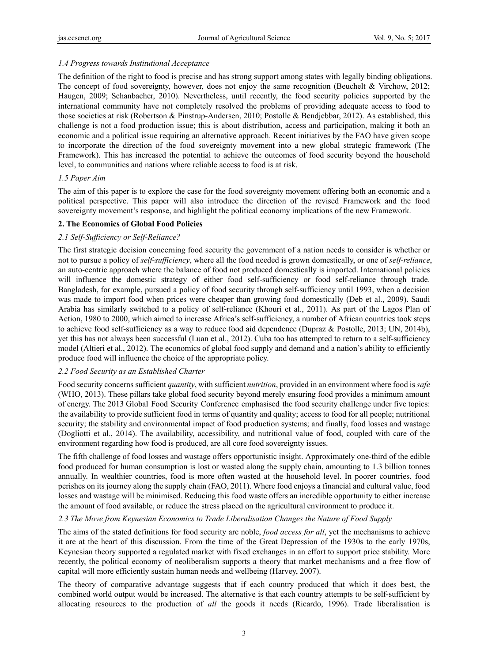#### *1.4 Progress towards Institutional Acceptance*

The definition of the right to food is precise and has strong support among states with legally binding obligations. The concept of food sovereignty, however, does not enjoy the same recognition (Beuchelt & Virchow, 2012; Haugen, 2009; Schanbacher, 2010). Nevertheless, until recently, the food security policies supported by the international community have not completely resolved the problems of providing adequate access to food to those societies at risk (Robertson & Pinstrup-Andersen, 2010; Postolle & Bendjebbar, 2012). As established, this challenge is not a food production issue; this is about distribution, access and participation, making it both an economic and a political issue requiring an alternative approach. Recent initiatives by the FAO have given scope to incorporate the direction of the food sovereignty movement into a new global strategic framework (The Framework). This has increased the potential to achieve the outcomes of food security beyond the household level, to communities and nations where reliable access to food is at risk.

#### *1.5 Paper Aim*

The aim of this paper is to explore the case for the food sovereignty movement offering both an economic and a political perspective. This paper will also introduce the direction of the revised Framework and the food sovereignty movement's response, and highlight the political economy implications of the new Framework.

#### **2. The Economics of Global Food Policies**

## *2.1 Self-Sufficiency or Self-Reliance?*

The first strategic decision concerning food security the government of a nation needs to consider is whether or not to pursue a policy of *self-sufficiency*, where all the food needed is grown domestically, or one of *self-reliance*, an auto-centric approach where the balance of food not produced domestically is imported. International policies will influence the domestic strategy of either food self-sufficiency or food self-reliance through trade. Bangladesh, for example, pursued a policy of food security through self-sufficiency until 1993, when a decision was made to import food when prices were cheaper than growing food domestically (Deb et al., 2009). Saudi Arabia has similarly switched to a policy of self-reliance (Khouri et al., 2011). As part of the Lagos Plan of Action, 1980 to 2000, which aimed to increase Africa's self-sufficiency, a number of African countries took steps to achieve food self-sufficiency as a way to reduce food aid dependence (Dupraz & Postolle, 2013; UN, 2014b), yet this has not always been successful (Luan et al., 2012). Cuba too has attempted to return to a self-sufficiency model (Altieri et al., 2012). The economics of global food supply and demand and a nation's ability to efficiently produce food will influence the choice of the appropriate policy.

#### *2.2 Food Security as an Established Charter*

Food security concerns sufficient *quantity*, with sufficient *nutrition*, provided in an environment where food is *safe* (WHO, 2013). These pillars take global food security beyond merely ensuring food provides a minimum amount of energy. The 2013 Global Food Security Conference emphasised the food security challenge under five topics: the availability to provide sufficient food in terms of quantity and quality; access to food for all people; nutritional security; the stability and environmental impact of food production systems; and finally, food losses and wastage (Dogliotti et al., 2014). The availability, accessibility, and nutritional value of food, coupled with care of the environment regarding how food is produced, are all core food sovereignty issues.

The fifth challenge of food losses and wastage offers opportunistic insight. Approximately one-third of the edible food produced for human consumption is lost or wasted along the supply chain, amounting to 1.3 billion tonnes annually. In wealthier countries, food is more often wasted at the household level. In poorer countries, food perishes on its journey along the supply chain (FAO, 2011). Where food enjoys a financial and cultural value, food losses and wastage will be minimised. Reducing this food waste offers an incredible opportunity to either increase the amount of food available, or reduce the stress placed on the agricultural environment to produce it.

#### *2.3 The Move from Keynesian Economics to Trade Liberalisation Changes the Nature of Food Supply*

The aims of the stated definitions for food security are noble, *food access for all*, yet the mechanisms to achieve it are at the heart of this discussion. From the time of the Great Depression of the 1930s to the early 1970s, Keynesian theory supported a regulated market with fixed exchanges in an effort to support price stability. More recently, the political economy of neoliberalism supports a theory that market mechanisms and a free flow of capital will more efficiently sustain human needs and wellbeing (Harvey, 2007).

The theory of comparative advantage suggests that if each country produced that which it does best, the combined world output would be increased. The alternative is that each country attempts to be self-sufficient by allocating resources to the production of *all* the goods it needs (Ricardo, 1996). Trade liberalisation is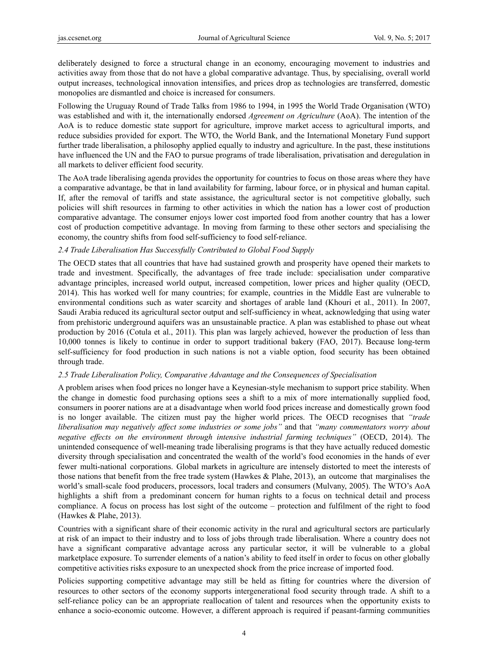deliberately designed to force a structural change in an economy, encouraging movement to industries and activities away from those that do not have a global comparative advantage. Thus, by specialising, overall world output increases, technological innovation intensifies, and prices drop as technologies are transferred, domestic monopolies are dismantled and choice is increased for consumers.

Following the Uruguay Round of Trade Talks from 1986 to 1994, in 1995 the World Trade Organisation (WTO) was established and with it, the internationally endorsed *Agreement on Agriculture* (AoA). The intention of the AoA is to reduce domestic state support for agriculture, improve market access to agricultural imports, and reduce subsidies provided for export. The WTO, the World Bank, and the International Monetary Fund support further trade liberalisation, a philosophy applied equally to industry and agriculture. In the past, these institutions have influenced the UN and the FAO to pursue programs of trade liberalisation, privatisation and deregulation in all markets to deliver efficient food security.

The AoA trade liberalising agenda provides the opportunity for countries to focus on those areas where they have a comparative advantage, be that in land availability for farming, labour force, or in physical and human capital. If, after the removal of tariffs and state assistance, the agricultural sector is not competitive globally, such policies will shift resources in farming to other activities in which the nation has a lower cost of production comparative advantage. The consumer enjoys lower cost imported food from another country that has a lower cost of production competitive advantage. In moving from farming to these other sectors and specialising the economy, the country shifts from food self-sufficiency to food self-reliance.

## *2.4 Trade Liberalisation Has Successfully Contributed to Global Food Supply*

The OECD states that all countries that have had sustained growth and prosperity have opened their markets to trade and investment. Specifically, the advantages of free trade include: specialisation under comparative advantage principles, increased world output, increased competition, lower prices and higher quality (OECD, 2014). This has worked well for many countries; for example, countries in the Middle East are vulnerable to environmental conditions such as water scarcity and shortages of arable land (Khouri et al., 2011). In 2007, Saudi Arabia reduced its agricultural sector output and self-sufficiency in wheat, acknowledging that using water from prehistoric underground aquifers was an unsustainable practice. A plan was established to phase out wheat production by 2016 (Cotula et al., 2011). This plan was largely achieved, however the production of less than 10,000 tonnes is likely to continue in order to support traditional bakery (FAO, 2017). Because long-term self-sufficiency for food production in such nations is not a viable option, food security has been obtained through trade.

#### *2.5 Trade Liberalisation Policy, Comparative Advantage and the Consequences of Specialisation*

A problem arises when food prices no longer have a Keynesian-style mechanism to support price stability. When the change in domestic food purchasing options sees a shift to a mix of more internationally supplied food, consumers in poorer nations are at a disadvantage when world food prices increase and domestically grown food is no longer available. The citizen must pay the higher world prices. The OECD recognises that *"trade liberalisation may negatively affect some industries or some jobs"* and that *"many commentators worry about negative effects on the environment through intensive industrial farming techniques"* (OECD, 2014). The unintended consequence of well-meaning trade liberalising programs is that they have actually reduced domestic diversity through specialisation and concentrated the wealth of the world's food economies in the hands of ever fewer multi-national corporations. Global markets in agriculture are intensely distorted to meet the interests of those nations that benefit from the free trade system (Hawkes & Plahe, 2013), an outcome that marginalises the world's small-scale food producers, processors, local traders and consumers (Mulvany, 2005). The WTO's AoA highlights a shift from a predominant concern for human rights to a focus on technical detail and process compliance. A focus on process has lost sight of the outcome – protection and fulfilment of the right to food (Hawkes & Plahe, 2013).

Countries with a significant share of their economic activity in the rural and agricultural sectors are particularly at risk of an impact to their industry and to loss of jobs through trade liberalisation. Where a country does not have a significant comparative advantage across any particular sector, it will be vulnerable to a global marketplace exposure. To surrender elements of a nation's ability to feed itself in order to focus on other globally competitive activities risks exposure to an unexpected shock from the price increase of imported food.

Policies supporting competitive advantage may still be held as fitting for countries where the diversion of resources to other sectors of the economy supports intergenerational food security through trade. A shift to a self-reliance policy can be an appropriate reallocation of talent and resources when the opportunity exists to enhance a socio-economic outcome. However, a different approach is required if peasant-farming communities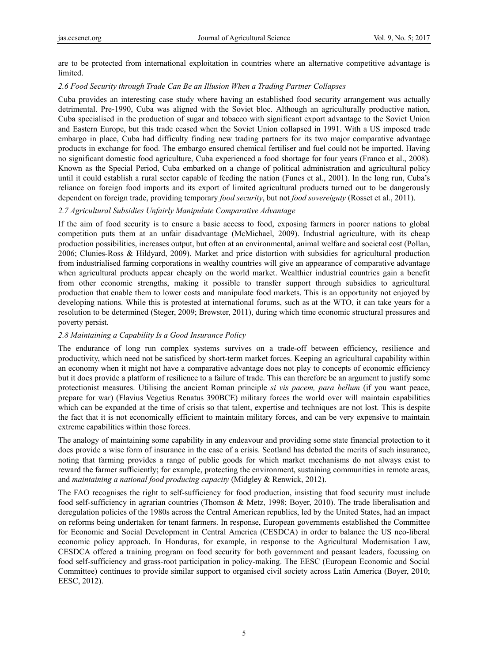are to be protected from international exploitation in countries where an alternative competitive advantage is **limited** 

# *2.6 Food Security through Trade Can Be an Illusion When a Trading Partner Collapses*

Cuba provides an interesting case study where having an established food security arrangement was actually detrimental. Pre-1990, Cuba was aligned with the Soviet bloc. Although an agriculturally productive nation, Cuba specialised in the production of sugar and tobacco with significant export advantage to the Soviet Union and Eastern Europe, but this trade ceased when the Soviet Union collapsed in 1991. With a US imposed trade embargo in place, Cuba had difficulty finding new trading partners for its two major comparative advantage products in exchange for food. The embargo ensured chemical fertiliser and fuel could not be imported. Having no significant domestic food agriculture, Cuba experienced a food shortage for four years (Franco et al., 2008). Known as the Special Period, Cuba embarked on a change of political administration and agricultural policy until it could establish a rural sector capable of feeding the nation (Funes et al., 2001). In the long run, Cuba's reliance on foreign food imports and its export of limited agricultural products turned out to be dangerously dependent on foreign trade, providing temporary *food security*, but not *food sovereignty* (Rosset et al., 2011).

## *2.7 Agricultural Subsidies Unfairly Manipulate Comparative Advantage*

If the aim of food security is to ensure a basic access to food, exposing farmers in poorer nations to global competition puts them at an unfair disadvantage (McMichael, 2009). Industrial agriculture, with its cheap production possibilities, increases output, but often at an environmental, animal welfare and societal cost (Pollan, 2006; Clunies-Ross & Hildyard, 2009). Market and price distortion with subsidies for agricultural production from industrialised farming corporations in wealthy countries will give an appearance of comparative advantage when agricultural products appear cheaply on the world market. Wealthier industrial countries gain a benefit from other economic strengths, making it possible to transfer support through subsidies to agricultural production that enable them to lower costs and manipulate food markets. This is an opportunity not enjoyed by developing nations. While this is protested at international forums, such as at the WTO, it can take years for a resolution to be determined (Steger, 2009; Brewster, 2011), during which time economic structural pressures and poverty persist.

# *2.8 Maintaining a Capability Is a Good Insurance Policy*

The endurance of long run complex systems survives on a trade-off between efficiency, resilience and productivity, which need not be satisficed by short-term market forces. Keeping an agricultural capability within an economy when it might not have a comparative advantage does not play to concepts of economic efficiency but it does provide a platform of resilience to a failure of trade. This can therefore be an argument to justify some protectionist measures. Utilising the ancient Roman principle *si vis pacem, para bellum* (if you want peace, prepare for war) (Flavius Vegetius Renatus 390BCE) military forces the world over will maintain capabilities which can be expanded at the time of crisis so that talent, expertise and techniques are not lost. This is despite the fact that it is not economically efficient to maintain military forces, and can be very expensive to maintain extreme capabilities within those forces.

The analogy of maintaining some capability in any endeavour and providing some state financial protection to it does provide a wise form of insurance in the case of a crisis. Scotland has debated the merits of such insurance, noting that farming provides a range of public goods for which market mechanisms do not always exist to reward the farmer sufficiently; for example, protecting the environment, sustaining communities in remote areas, and *maintaining a national food producing capacity* (Midgley & Renwick, 2012).

The FAO recognises the right to self-sufficiency for food production, insisting that food security must include food self-sufficiency in agrarian countries (Thomson & Metz, 1998; Boyer, 2010). The trade liberalisation and deregulation policies of the 1980s across the Central American republics, led by the United States, had an impact on reforms being undertaken for tenant farmers. In response, European governments established the Committee for Economic and Social Development in Central America (CESDCA) in order to balance the US neo-liberal economic policy approach. In Honduras, for example, in response to the Agricultural Modernisation Law, CESDCA offered a training program on food security for both government and peasant leaders, focussing on food self-sufficiency and grass-root participation in policy-making. The EESC (European Economic and Social Committee) continues to provide similar support to organised civil society across Latin America (Boyer, 2010; EESC, 2012).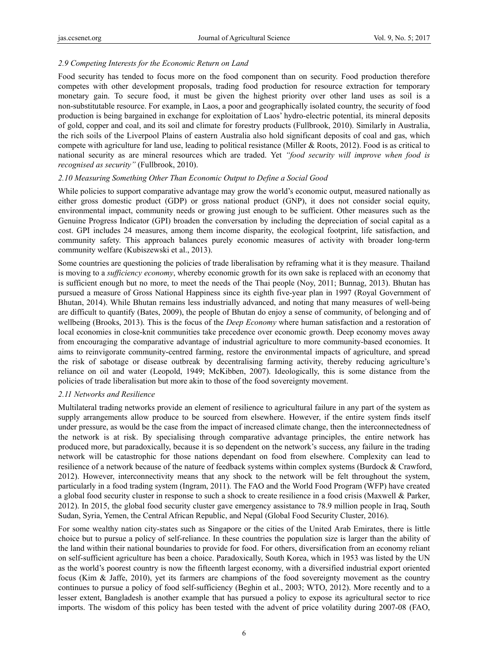#### *2.9 Competing Interests for the Economic Return on Land*

Food security has tended to focus more on the food component than on security. Food production therefore competes with other development proposals, trading food production for resource extraction for temporary monetary gain. To secure food, it must be given the highest priority over other land uses as soil is a non-substitutable resource. For example, in Laos, a poor and geographically isolated country, the security of food production is being bargained in exchange for exploitation of Laos' hydro-electric potential, its mineral deposits of gold, copper and coal, and its soil and climate for forestry products (Fullbrook, 2010). Similarly in Australia, the rich soils of the Liverpool Plains of eastern Australia also hold significant deposits of coal and gas, which compete with agriculture for land use, leading to political resistance (Miller & Roots, 2012). Food is as critical to national security as are mineral resources which are traded. Yet *"food security will improve when food is recognised as security"* (Fullbrook, 2010).

#### *2.10 Measuring Something Other Than Economic Output to Define a Social Good*

While policies to support comparative advantage may grow the world's economic output, measured nationally as either gross domestic product (GDP) or gross national product (GNP), it does not consider social equity, environmental impact, community needs or growing just enough to be sufficient. Other measures such as the Genuine Progress Indicator (GPI) broaden the conversation by including the depreciation of social capital as a cost. GPI includes 24 measures, among them income disparity, the ecological footprint, life satisfaction, and community safety. This approach balances purely economic measures of activity with broader long-term community welfare (Kubiszewski et al., 2013).

Some countries are questioning the policies of trade liberalisation by reframing what it is they measure. Thailand is moving to a *sufficiency economy*, whereby economic growth for its own sake is replaced with an economy that is sufficient enough but no more, to meet the needs of the Thai people (Noy, 2011; Bunnag, 2013). Bhutan has pursued a measure of Gross National Happiness since its eighth five-year plan in 1997 (Royal Government of Bhutan, 2014). While Bhutan remains less industrially advanced, and noting that many measures of well-being are difficult to quantify (Bates, 2009), the people of Bhutan do enjoy a sense of community, of belonging and of wellbeing (Brooks, 2013). This is the focus of the *Deep Economy* where human satisfaction and a restoration of local economies in close-knit communities take precedence over economic growth. Deep economy moves away from encouraging the comparative advantage of industrial agriculture to more community-based economies. It aims to reinvigorate community-centred farming, restore the environmental impacts of agriculture, and spread the risk of sabotage or disease outbreak by decentralising farming activity, thereby reducing agriculture's reliance on oil and water (Leopold, 1949; McKibben, 2007). Ideologically, this is some distance from the policies of trade liberalisation but more akin to those of the food sovereignty movement.

#### *2.11 Networks and Resilience*

Multilateral trading networks provide an element of resilience to agricultural failure in any part of the system as supply arrangements allow produce to be sourced from elsewhere. However, if the entire system finds itself under pressure, as would be the case from the impact of increased climate change, then the interconnectedness of the network is at risk. By specialising through comparative advantage principles, the entire network has produced more, but paradoxically, because it is so dependent on the network's success, any failure in the trading network will be catastrophic for those nations dependant on food from elsewhere. Complexity can lead to resilience of a network because of the nature of feedback systems within complex systems (Burdock & Crawford, 2012). However, interconnectivity means that any shock to the network will be felt throughout the system, particularly in a food trading system (Ingram, 2011). The FAO and the World Food Program (WFP) have created a global food security cluster in response to such a shock to create resilience in a food crisis (Maxwell & Parker, 2012). In 2015, the global food security cluster gave emergency assistance to 78.9 million people in Iraq, South Sudan, Syria, Yemen, the Central African Republic, and Nepal (Global Food Security Cluster, 2016).

For some wealthy nation city-states such as Singapore or the cities of the United Arab Emirates, there is little choice but to pursue a policy of self-reliance. In these countries the population size is larger than the ability of the land within their national boundaries to provide for food. For others, diversification from an economy reliant on self-sufficient agriculture has been a choice. Paradoxically, South Korea, which in 1953 was listed by the UN as the world's poorest country is now the fifteenth largest economy, with a diversified industrial export oriented focus (Kim & Jaffe, 2010), yet its farmers are champions of the food sovereignty movement as the country continues to pursue a policy of food self-sufficiency (Beghin et al., 2003; WTO, 2012). More recently and to a lesser extent, Bangladesh is another example that has pursued a policy to expose its agricultural sector to rice imports. The wisdom of this policy has been tested with the advent of price volatility during 2007-08 (FAO,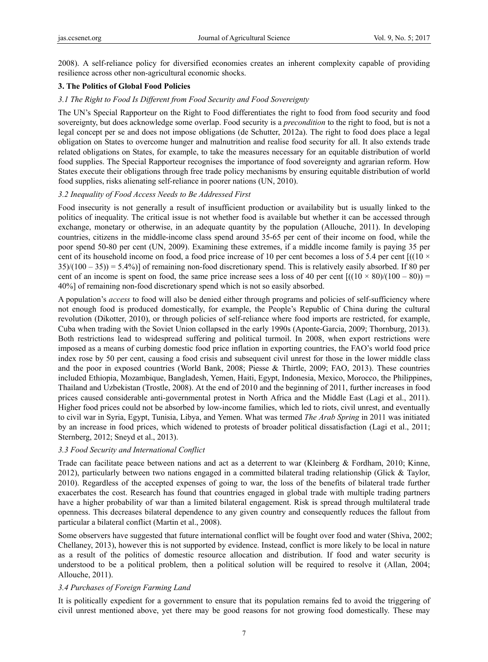2008). A self-reliance policy for diversified economies creates an inherent complexity capable of providing resilience across other non-agricultural economic shocks.

#### **3. The Politics of Global Food Policies**

#### *3.1 The Right to Food Is Different from Food Security and Food Sovereignty*

The UN's Special Rapporteur on the Right to Food differentiates the right to food from food security and food sovereignty, but does acknowledge some overlap. Food security is a *precondition* to the right to food, but is not a legal concept per se and does not impose obligations (de Schutter, 2012a). The right to food does place a legal obligation on States to overcome hunger and malnutrition and realise food security for all. It also extends trade related obligations on States, for example, to take the measures necessary for an equitable distribution of world food supplies. The Special Rapporteur recognises the importance of food sovereignty and agrarian reform. How States execute their obligations through free trade policy mechanisms by ensuring equitable distribution of world food supplies, risks alienating self-reliance in poorer nations (UN, 2010).

## *3.2 Inequality of Food Access Needs to Be Addressed First*

Food insecurity is not generally a result of insufficient production or availability but is usually linked to the politics of inequality. The critical issue is not whether food is available but whether it can be accessed through exchange, monetary or otherwise, in an adequate quantity by the population (Allouche, 2011). In developing countries, citizens in the middle-income class spend around 35-65 per cent of their income on food, while the poor spend 50-80 per cent (UN, 2009). Examining these extremes, if a middle income family is paying 35 per cent of its household income on food, a food price increase of 10 per cent becomes a loss of 5.4 per cent  $[(10 \times$  $35)/(100 - 35) = 5.4\%)$ ] of remaining non-food discretionary spend. This is relatively easily absorbed. If 80 per cent of an income is spent on food, the same price increase sees a loss of 40 per cent  $[(10 \times 80)/(100 - 80)]$ 40%] of remaining non-food discretionary spend which is not so easily absorbed.

A population's *access* to food will also be denied either through programs and policies of self-sufficiency where not enough food is produced domestically, for example, the People's Republic of China during the cultural revolution (Dikotter, 2010), or through policies of self-reliance where food imports are restricted, for example, Cuba when trading with the Soviet Union collapsed in the early 1990s (Aponte-Garcia, 2009; Thornburg, 2013). Both restrictions lead to widespread suffering and political turmoil. In 2008, when export restrictions were imposed as a means of curbing domestic food price inflation in exporting countries, the FAO's world food price index rose by 50 per cent, causing a food crisis and subsequent civil unrest for those in the lower middle class and the poor in exposed countries (World Bank, 2008; Piesse & Thirtle, 2009; FAO, 2013). These countries included Ethiopia, Mozambique, Bangladesh, Yemen, Haiti, Egypt, Indonesia, Mexico, Morocco, the Philippines, Thailand and Uzbekistan (Trostle, 2008). At the end of 2010 and the beginning of 2011, further increases in food prices caused considerable anti-governmental protest in North Africa and the Middle East (Lagi et al., 2011). Higher food prices could not be absorbed by low-income families, which led to riots, civil unrest, and eventually to civil war in Syria, Egypt, Tunisia, Libya, and Yemen. What was termed *The Arab Spring* in 2011 was initiated by an increase in food prices, which widened to protests of broader political dissatisfaction (Lagi et al., 2011; Sternberg, 2012; Sneyd et al., 2013).

#### *3.3 Food Security and International Conflict*

Trade can facilitate peace between nations and act as a deterrent to war (Kleinberg & Fordham, 2010; Kinne, 2012), particularly between two nations engaged in a committed bilateral trading relationship (Glick & Taylor, 2010). Regardless of the accepted expenses of going to war, the loss of the benefits of bilateral trade further exacerbates the cost. Research has found that countries engaged in global trade with multiple trading partners have a higher probability of war than a limited bilateral engagement. Risk is spread through multilateral trade openness. This decreases bilateral dependence to any given country and consequently reduces the fallout from particular a bilateral conflict (Martin et al., 2008).

Some observers have suggested that future international conflict will be fought over food and water (Shiva, 2002; Chellaney, 2013), however this is not supported by evidence. Instead, conflict is more likely to be local in nature as a result of the politics of domestic resource allocation and distribution. If food and water security is understood to be a political problem, then a political solution will be required to resolve it (Allan, 2004; Allouche, 2011).

#### *3.4 Purchases of Foreign Farming Land*

It is politically expedient for a government to ensure that its population remains fed to avoid the triggering of civil unrest mentioned above, yet there may be good reasons for not growing food domestically. These may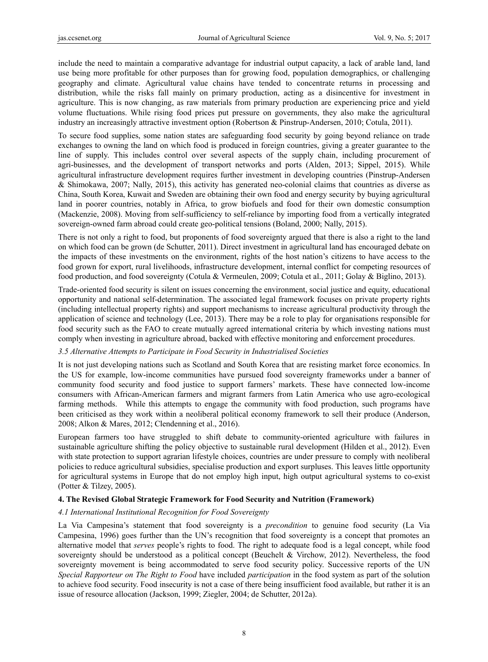include the need to maintain a comparative advantage for industrial output capacity, a lack of arable land, land use being more profitable for other purposes than for growing food, population demographics, or challenging geography and climate. Agricultural value chains have tended to concentrate returns in processing and distribution, while the risks fall mainly on primary production, acting as a disincentive for investment in agriculture. This is now changing, as raw materials from primary production are experiencing price and yield volume fluctuations. While rising food prices put pressure on governments, they also make the agricultural industry an increasingly attractive investment option (Robertson & Pinstrup-Andersen, 2010; Cotula, 2011).

To secure food supplies, some nation states are safeguarding food security by going beyond reliance on trade exchanges to owning the land on which food is produced in foreign countries, giving a greater guarantee to the line of supply. This includes control over several aspects of the supply chain, including procurement of agri-businesses, and the development of transport networks and ports (Alden, 2013; Sippel, 2015). While agricultural infrastructure development requires further investment in developing countries (Pinstrup-Andersen & Shimokawa, 2007; Nally, 2015), this activity has generated neo-colonial claims that countries as diverse as China, South Korea, Kuwait and Sweden are obtaining their own food and energy security by buying agricultural land in poorer countries, notably in Africa, to grow biofuels and food for their own domestic consumption (Mackenzie, 2008). Moving from self-sufficiency to self-reliance by importing food from a vertically integrated sovereign-owned farm abroad could create geo-political tensions (Boland, 2000; Nally, 2015).

There is not only a right to food, but proponents of food sovereignty argued that there is also a right to the land on which food can be grown (de Schutter, 2011). Direct investment in agricultural land has encouraged debate on the impacts of these investments on the environment, rights of the host nation's citizens to have access to the food grown for export, rural livelihoods, infrastructure development, internal conflict for competing resources of food production, and food sovereignty (Cotula & Vermeulen, 2009; Cotula et al., 2011; Golay & Biglino, 2013).

Trade-oriented food security is silent on issues concerning the environment, social justice and equity, educational opportunity and national self-determination. The associated legal framework focuses on private property rights (including intellectual property rights) and support mechanisms to increase agricultural productivity through the application of science and technology (Lee, 2013). There may be a role to play for organisations responsible for food security such as the FAO to create mutually agreed international criteria by which investing nations must comply when investing in agriculture abroad, backed with effective monitoring and enforcement procedures.

#### *3.5 Alternative Attempts to Participate in Food Security in Industrialised Societies*

It is not just developing nations such as Scotland and South Korea that are resisting market force economics. In the US for example, low-income communities have pursued food sovereignty frameworks under a banner of community food security and food justice to support farmers' markets. These have connected low-income consumers with African-American farmers and migrant farmers from Latin America who use agro-ecological farming methods. While this attempts to engage the community with food production, such programs have been criticised as they work within a neoliberal political economy framework to sell their produce (Anderson, 2008; Alkon & Mares, 2012; Clendenning et al., 2016).

European farmers too have struggled to shift debate to community-oriented agriculture with failures in sustainable agriculture shifting the policy objective to sustainable rural development (Hilden et al., 2012). Even with state protection to support agrarian lifestyle choices, countries are under pressure to comply with neoliberal policies to reduce agricultural subsidies, specialise production and export surpluses. This leaves little opportunity for agricultural systems in Europe that do not employ high input, high output agricultural systems to co-exist (Potter & Tilzey, 2005).

#### **4. The Revised Global Strategic Framework for Food Security and Nutrition (Framework)**

# *4.1 International Institutional Recognition for Food Sovereignty*

La Via Campesina's statement that food sovereignty is a *precondition* to genuine food security (La Via Campesina, 1996) goes further than the UN's recognition that food sovereignty is a concept that promotes an alternative model that *serves* people's rights to food. The right to adequate food is a legal concept, while food sovereignty should be understood as a political concept (Beuchelt & Virchow, 2012). Nevertheless, the food sovereignty movement is being accommodated to serve food security policy. Successive reports of the UN *Special Rapporteur on The Right to Food* have included *participation* in the food system as part of the solution to achieve food security. Food insecurity is not a case of there being insufficient food available, but rather it is an issue of resource allocation (Jackson, 1999; Ziegler, 2004; de Schutter, 2012a).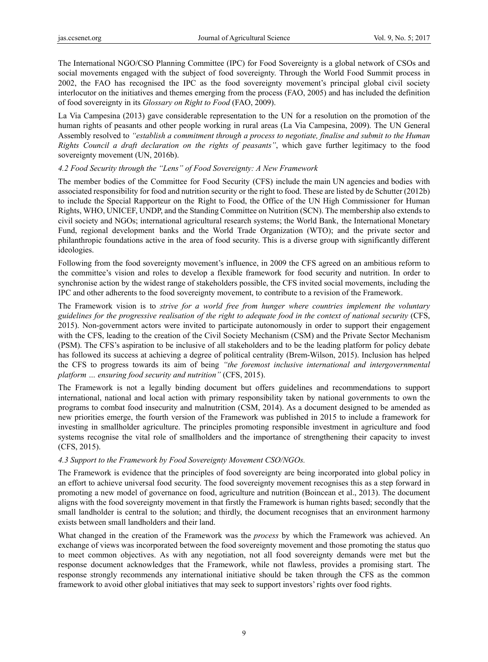The International NGO/CSO Planning Committee (IPC) for Food Sovereignty is a global network of CSOs and social movements engaged with the subject of food sovereignty. Through the World Food Summit process in 2002, the FAO has recognised the IPC as the food sovereignty movement's principal global civil society interlocutor on the initiatives and themes emerging from the process (FAO, 2005) and has included the definition of food sovereignty in its *Glossary on Right to Food* (FAO, 2009).

La Via Campesina (2013) gave considerable representation to the UN for a resolution on the promotion of the human rights of peasants and other people working in rural areas (La Via Campesina, 2009). The UN General Assembly resolved to *"establish a commitment through a process to negotiate, finalise and submit to the Human Rights Council a draft declaration on the rights of peasants"*, which gave further legitimacy to the food sovereignty movement (UN, 2016b).

## *4.2 Food Security through the "Lens" of Food Sovereignty: A New Framework*

The member bodies of the Committee for Food Security (CFS) include the main UN agencies and bodies with associated responsibility for food and nutrition security or the right to food. These are listed by de Schutter (2012b) to include the Special Rapporteur on the Right to Food, the Office of the UN High Commissioner for Human Rights, WHO, UNICEF, UNDP, and the Standing Committee on Nutrition (SCN). The membership also extends to civil society and NGOs; international agricultural research systems; the World Bank, the International Monetary Fund, regional development banks and the World Trade Organization (WTO); and the private sector and philanthropic foundations active in the area of food security. This is a diverse group with significantly different ideologies.

Following from the food sovereignty movement's influence, in 2009 the CFS agreed on an ambitious reform to the committee's vision and roles to develop a flexible framework for food security and nutrition. In order to synchronise action by the widest range of stakeholders possible, the CFS invited social movements, including the IPC and other adherents to the food sovereignty movement, to contribute to a revision of the Framework.

The Framework vision is to *strive for a world free from hunger where countries implement the voluntary guidelines for the progressive realisation of the right to adequate food in the context of national security* (CFS, 2015). Non-government actors were invited to participate autonomously in order to support their engagement with the CFS, leading to the creation of the Civil Society Mechanism (CSM) and the Private Sector Mechanism (PSM). The CFS's aspiration to be inclusive of all stakeholders and to be the leading platform for policy debate has followed its success at achieving a degree of political centrality (Brem-Wilson, 2015). Inclusion has helped the CFS to progress towards its aim of being *"the foremost inclusive international and intergovernmental platform … ensuring food security and nutrition"* (CFS, 2015).

The Framework is not a legally binding document but offers guidelines and recommendations to support international, national and local action with primary responsibility taken by national governments to own the programs to combat food insecurity and malnutrition (CSM, 2014). As a document designed to be amended as new priorities emerge, the fourth version of the Framework was published in 2015 to include a framework for investing in smallholder agriculture. The principles promoting responsible investment in agriculture and food systems recognise the vital role of smallholders and the importance of strengthening their capacity to invest (CFS, 2015).

# *4.3 Support to the Framework by Food Sovereignty Movement CSO/NGOs.*

The Framework is evidence that the principles of food sovereignty are being incorporated into global policy in an effort to achieve universal food security. The food sovereignty movement recognises this as a step forward in promoting a new model of governance on food, agriculture and nutrition (Boincean et al., 2013). The document aligns with the food sovereignty movement in that firstly the Framework is human rights based; secondly that the small landholder is central to the solution; and thirdly, the document recognises that an environment harmony exists between small landholders and their land.

What changed in the creation of the Framework was the *process* by which the Framework was achieved. An exchange of views was incorporated between the food sovereignty movement and those promoting the status quo to meet common objectives. As with any negotiation, not all food sovereignty demands were met but the response document acknowledges that the Framework, while not flawless, provides a promising start. The response strongly recommends any international initiative should be taken through the CFS as the common framework to avoid other global initiatives that may seek to support investors' rights over food rights.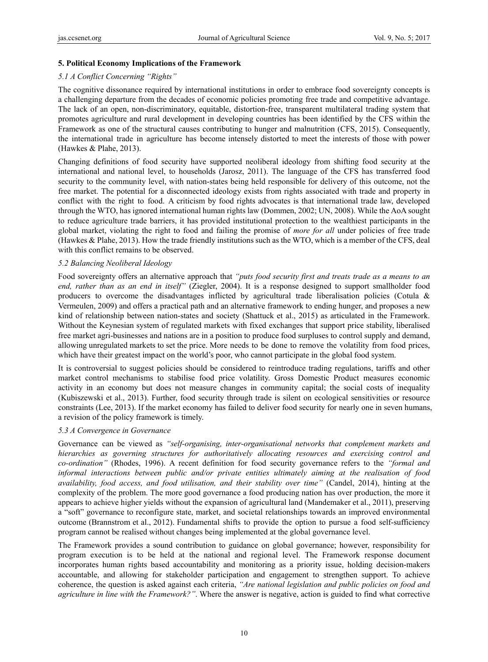## **5. Political Economy Implications of the Framework**

## *5.1 A Conflict Concerning "Rights"*

The cognitive dissonance required by international institutions in order to embrace food sovereignty concepts is a challenging departure from the decades of economic policies promoting free trade and competitive advantage. The lack of an open, non-discriminatory, equitable, distortion-free, transparent multilateral trading system that promotes agriculture and rural development in developing countries has been identified by the CFS within the Framework as one of the structural causes contributing to hunger and malnutrition (CFS, 2015). Consequently, the international trade in agriculture has become intensely distorted to meet the interests of those with power (Hawkes & Plahe, 2013).

Changing definitions of food security have supported neoliberal ideology from shifting food security at the international and national level, to households (Jarosz, 2011). The language of the CFS has transferred food security to the community level, with nation-states being held responsible for delivery of this outcome, not the free market. The potential for a disconnected ideology exists from rights associated with trade and property in conflict with the right to food. A criticism by food rights advocates is that international trade law, developed through the WTO, has ignored international human rights law (Dommen, 2002; UN, 2008). While the AoA sought to reduce agriculture trade barriers, it has provided institutional protection to the wealthiest participants in the global market, violating the right to food and failing the promise of *more for all* under policies of free trade (Hawkes & Plahe, 2013). How the trade friendly institutions such as the WTO, which is a member of the CFS, deal with this conflict remains to be observed.

# *5.2 Balancing Neoliberal Ideology*

Food sovereignty offers an alternative approach that *"puts food security first and treats trade as a means to an end, rather than as an end in itself"* (Ziegler, 2004). It is a response designed to support smallholder food producers to overcome the disadvantages inflicted by agricultural trade liberalisation policies (Cotula  $\&$ Vermeulen, 2009) and offers a practical path and an alternative framework to ending hunger, and proposes a new kind of relationship between nation-states and society (Shattuck et al., 2015) as articulated in the Framework. Without the Keynesian system of regulated markets with fixed exchanges that support price stability, liberalised free market agri-businesses and nations are in a position to produce food surpluses to control supply and demand, allowing unregulated markets to set the price. More needs to be done to remove the volatility from food prices, which have their greatest impact on the world's poor, who cannot participate in the global food system.

It is controversial to suggest policies should be considered to reintroduce trading regulations, tariffs and other market control mechanisms to stabilise food price volatility. Gross Domestic Product measures economic activity in an economy but does not measure changes in community capital; the social costs of inequality (Kubiszewski et al., 2013). Further, food security through trade is silent on ecological sensitivities or resource constraints (Lee, 2013). If the market economy has failed to deliver food security for nearly one in seven humans, a revision of the policy framework is timely.

#### *5.3 A Convergence in Governance*

Governance can be viewed as *"self-organising, inter-organisational networks that complement markets and hierarchies as governing structures for authoritatively allocating resources and exercising control and co-ordination"* (Rhodes, 1996). A recent definition for food security governance refers to the *"formal and informal interactions between public and/or private entities ultimately aiming at the realisation of food availability, food access, and food utilisation, and their stability over time"* (Candel, 2014), hinting at the complexity of the problem. The more good governance a food producing nation has over production, the more it appears to achieve higher yields without the expansion of agricultural land (Mandemaker et al., 2011), preserving a "soft" governance to reconfigure state, market, and societal relationships towards an improved environmental outcome (Brannstrom et al., 2012). Fundamental shifts to provide the option to pursue a food self-sufficiency program cannot be realised without changes being implemented at the global governance level.

The Framework provides a sound contribution to guidance on global governance; however, responsibility for program execution is to be held at the national and regional level. The Framework response document incorporates human rights based accountability and monitoring as a priority issue, holding decision-makers accountable, and allowing for stakeholder participation and engagement to strengthen support. To achieve coherence, the question is asked against each criteria, *"Are national legislation and public policies on food and agriculture in line with the Framework?"*. Where the answer is negative, action is guided to find what corrective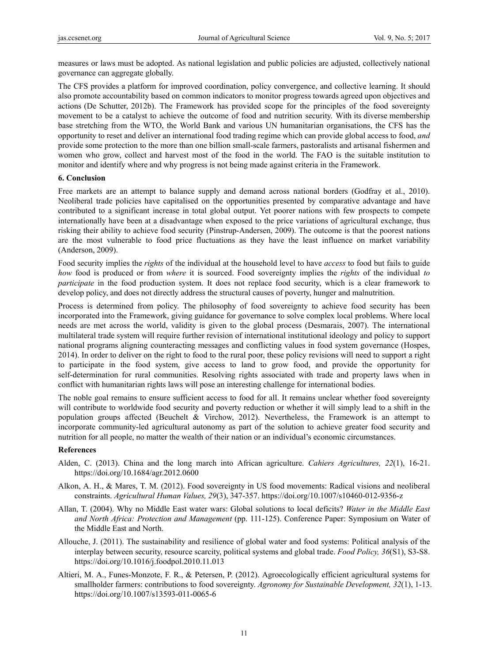measures or laws must be adopted. As national legislation and public policies are adjusted, collectively national governance can aggregate globally.

The CFS provides a platform for improved coordination, policy convergence, and collective learning. It should also promote accountability based on common indicators to monitor progress towards agreed upon objectives and actions (De Schutter, 2012b). The Framework has provided scope for the principles of the food sovereignty movement to be a catalyst to achieve the outcome of food and nutrition security. With its diverse membership base stretching from the WTO, the World Bank and various UN humanitarian organisations, the CFS has the opportunity to reset and deliver an international food trading regime which can provide global access to food, *and* provide some protection to the more than one billion small-scale farmers, pastoralists and artisanal fishermen and women who grow, collect and harvest most of the food in the world. The FAO is the suitable institution to monitor and identify where and why progress is not being made against criteria in the Framework.

#### **6. Conclusion**

Free markets are an attempt to balance supply and demand across national borders (Godfray et al., 2010). Neoliberal trade policies have capitalised on the opportunities presented by comparative advantage and have contributed to a significant increase in total global output. Yet poorer nations with few prospects to compete internationally have been at a disadvantage when exposed to the price variations of agricultural exchange, thus risking their ability to achieve food security (Pinstrup-Andersen, 2009). The outcome is that the poorest nations are the most vulnerable to food price fluctuations as they have the least influence on market variability (Anderson, 2009).

Food security implies the *rights* of the individual at the household level to have *access* to food but fails to guide *how* food is produced or from *where* it is sourced. Food sovereignty implies the *rights* of the individual *to participate* in the food production system. It does not replace food security, which is a clear framework to develop policy, and does not directly address the structural causes of poverty, hunger and malnutrition.

Process is determined from policy. The philosophy of food sovereignty to achieve food security has been incorporated into the Framework, giving guidance for governance to solve complex local problems. Where local needs are met across the world, validity is given to the global process (Desmarais, 2007). The international multilateral trade system will require further revision of international institutional ideology and policy to support national programs aligning counteracting messages and conflicting values in food system governance (Hospes, 2014). In order to deliver on the right to food to the rural poor, these policy revisions will need to support a right to participate in the food system, give access to land to grow food, and provide the opportunity for self-determination for rural communities. Resolving rights associated with trade and property laws when in conflict with humanitarian rights laws will pose an interesting challenge for international bodies.

The noble goal remains to ensure sufficient access to food for all. It remains unclear whether food sovereignty will contribute to worldwide food security and poverty reduction or whether it will simply lead to a shift in the population groups affected (Beuchelt & Virchow, 2012). Nevertheless, the Framework is an attempt to incorporate community-led agricultural autonomy as part of the solution to achieve greater food security and nutrition for all people, no matter the wealth of their nation or an individual's economic circumstances.

#### **References**

- Alden, C. (2013). China and the long march into African agriculture. *Cahiers Agricultures, 22*(1), 16-21. https://doi.org/10.1684/agr.2012.0600
- Alkon, A. H., & Mares, T. M. (2012). Food sovereignty in US food movements: Radical visions and neoliberal constraints. *Agricultural Human Values, 29*(3), 347-357. https://doi.org/10.1007/s10460-012-9356-z
- Allan, T. (2004). Why no Middle East water wars: Global solutions to local deficits? *Water in the Middle East and North Africa: Protection and Management* (pp. 111-125). Conference Paper: Symposium on Water of the Middle East and North.
- Allouche, J. (2011). The sustainability and resilience of global water and food systems: Political analysis of the interplay between security, resource scarcity, political systems and global trade. *Food Policy, 36*(S1), S3-S8. https://doi.org/10.1016/j.foodpol.2010.11.013
- Altieri, M. A., Funes-Monzote, F. R., & Petersen, P. (2012). Agroecologically efficient agricultural systems for smallholder farmers: contributions to food sovereignty. *Agronomy for Sustainable Development, 32*(1), 1-13. https://doi.org/10.1007/s13593-011-0065-6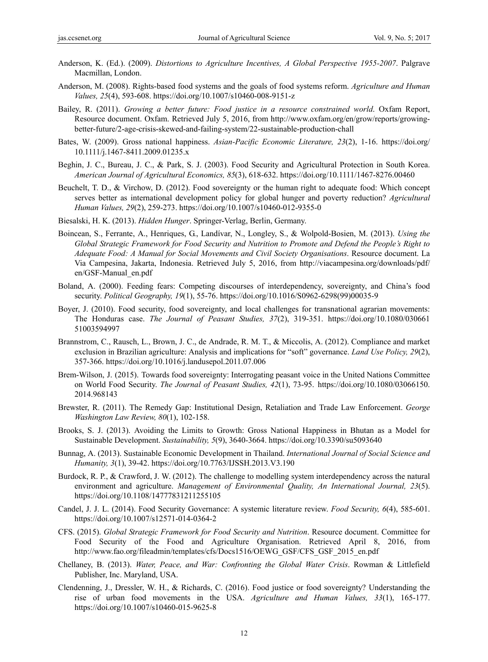- Anderson, K. (Ed.). (2009). *Distortions to Agriculture Incentives, A Global Perspective 1955-2007*. Palgrave Macmillan, London.
- Anderson, M. (2008). Rights-based food systems and the goals of food systems reform. *Agriculture and Human Values, 25*(4), 593-608. https://doi.org/10.1007/s10460-008-9151-z
- Bailey, R. (2011). *Growing a better future: Food justice in a resource constrained world*. Oxfam Report, Resource document. Oxfam. Retrieved July 5, 2016, from http://www.oxfam.org/en/grow/reports/growingbetter-future/2-age-crisis-skewed-and-failing-system/22-sustainable-production-chall
- Bates, W. (2009). Gross national happiness. *Asian-Pacific Economic Literature, 23*(2), 1-16. https://doi.org/ 10.1111/j.1467-8411.2009.01235.x
- Beghin, J. C., Bureau, J. C., & Park, S. J. (2003). Food Security and Agricultural Protection in South Korea. *American Journal of Agricultural Economics, 85*(3), 618-632. https://doi.org/10.1111/1467-8276.00460
- Beuchelt, T. D., & Virchow, D. (2012). Food sovereignty or the human right to adequate food: Which concept serves better as international development policy for global hunger and poverty reduction? *Agricultural Human Values, 29*(2), 259-273. https://doi.org/10.1007/s10460-012-9355-0
- Biesalski, H. K. (2013). *Hidden Hunger*. Springer-Verlag, Berlin, Germany.
- Boincean, S., Ferrante, A., Henriques, G., Landívar, N., Longley, S., & Wolpold-Bosien, M. (2013). *Using the Global Strategic Framework for Food Security and Nutrition to Promote and Defend the People's Right to Adequate Food: A Manual for Social Movements and Civil Society Organisations*. Resource document. La Via Campesina, Jakarta, Indonesia. Retrieved July 5, 2016, from http://viacampesina.org/downloads/pdf/ en/GSF-Manual\_en.pdf
- Boland, A. (2000). Feeding fears: Competing discourses of interdependency, sovereignty, and China's food security. *Political Geography, 19*(1), 55-76. https://doi.org/10.1016/S0962-6298(99)00035-9
- Boyer, J. (2010). Food security, food sovereignty, and local challenges for transnational agrarian movements: The Honduras case. *The Journal of Peasant Studies, 37*(2), 319-351. https://doi.org/10.1080/030661 51003594997
- Brannstrom, C., Rausch, L., Brown, J. C., de Andrade, R. M. T., & Miccolis, A. (2012). Compliance and market exclusion in Brazilian agriculture: Analysis and implications for "soft" governance. *Land Use Policy, 29*(2), 357-366. https://doi.org/10.1016/j.landusepol.2011.07.006
- Brem-Wilson, J. (2015). Towards food sovereignty: Interrogating peasant voice in the United Nations Committee on World Food Security. *The Journal of Peasant Studies, 42*(1), 73-95. https://doi.org/10.1080/03066150. 2014.968143
- Brewster, R. (2011). The Remedy Gap: Institutional Design, Retaliation and Trade Law Enforcement. *George Washington Law Review, 80*(1), 102-158.
- Brooks, S. J. (2013). Avoiding the Limits to Growth: Gross National Happiness in Bhutan as a Model for Sustainable Development. *Sustainability, 5*(9), 3640-3664. https://doi.org/10.3390/su5093640
- Bunnag, A. (2013). Sustainable Economic Development in Thailand. *International Journal of Social Science and Humanity, 3*(1), 39-42. https://doi.org/10.7763/IJSSH.2013.V3.190
- Burdock, R. P., & Crawford, J. W. (2012). The challenge to modelling system interdependency across the natural environment and agriculture. *Management of Environmental Quality, An International Journal, 23*(5). https://doi.org/10.1108/14777831211255105
- Candel, J. J. L. (2014). Food Security Governance: A systemic literature review. *Food Security, 6*(4), 585-601. https://doi.org/10.1007/s12571-014-0364-2
- CFS. (2015). *Global Strategic Framework for Food Security and Nutrition*. Resource document. Committee for Food Security of the Food and Agriculture Organisation. Retrieved April 8, 2016, from http://www.fao.org/fileadmin/templates/cfs/Docs1516/OEWG\_GSF/CFS\_GSF\_2015\_en.pdf
- Chellaney, B. (2013). *Water, Peace, and War: Confronting the Global Water Crisis*. Rowman & Littlefield Publisher, Inc. Maryland, USA.
- Clendenning, J., Dressler, W. H., & Richards, C. (2016). Food justice or food sovereignty? Understanding the rise of urban food movements in the USA. *Agriculture and Human Values, 33*(1), 165-177. https://doi.org/10.1007/s10460-015-9625-8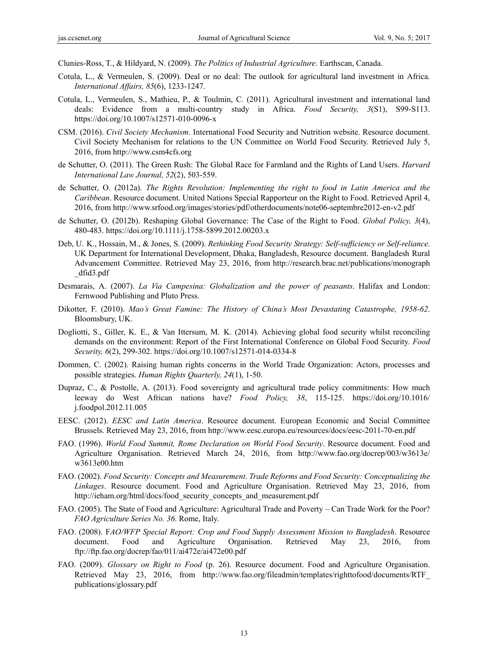Clunies-Ross, T., & Hildyard, N. (2009). *The Politics of Industrial Agriculture*. Earthscan, Canada.

- Cotula, L., & Vermeulen, S. (2009). Deal or no deal: The outlook for agricultural land investment in Africa. *International Affairs, 85*(6), 1233-1247.
- Cotula, L., Vermeulen, S., Mathieu, P., & Toulmin, C. (2011). Agricultural investment and international land deals: Evidence from a multi-country study in Africa. *Food Security, 3*(S1), S99-S113. https://doi.org/10.1007/s12571-010-0096-x
- CSM. (2016). *Civil Society Mechanism*. International Food Security and Nutrition website. Resource document. Civil Society Mechanism for relations to the UN Committee on World Food Security. Retrieved July 5, 2016, from http://www.csm4cfs.org
- de Schutter, O. (2011). The Green Rush: The Global Race for Farmland and the Rights of Land Users. *Harvard International Law Journal, 52*(2), 503-559.
- de Schutter, O. (2012a). *The Rights Revolution: Implementing the right to food in Latin America and the Caribbean*. Resource document. United Nations Special Rapporteur on the Right to Food. Retrieved April 4, 2016, from http://www.srfood.org/images/stories/pdf/otherdocuments/note06-septembre2012-en-v2.pdf
- de Schutter, O. (2012b). Reshaping Global Governance: The Case of the Right to Food. *Global Policy, 3*(4), 480-483. https://doi.org/10.1111/j.1758-5899.2012.00203.x
- Deb, U. K., Hossain, M., & Jones, S. (2009). *Rethinking Food Security Strategy: Self-sufficiency or Self-reliance*. UK Department for International Development, Dhaka, Bangladesh, Resource document. Bangladesh Rural Advancement Committee. Retrieved May 23, 2016, from http://research.brac.net/publications/monograph \_dfid3.pdf
- Desmarais, A. (2007). *La Via Campesina: Globalization and the power of peasants*. Halifax and London: Fernwood Publishing and Pluto Press.
- Dikotter, F. (2010). *Mao's Great Famine: The History of China's Most Devastating Catastrophe, 1958-62*. Bloomsbury, UK.
- Dogliotti, S., Giller, K. E., & Van Ittersum, M. K. (2014). Achieving global food security whilst reconciling demands on the environment: Report of the First International Conference on Global Food Security. *Food Security, 6*(2), 299-302. https://doi.org/10.1007/s12571-014-0334-8
- Dommen, C. (2002). Raising human rights concerns in the World Trade Organization: Actors, processes and possible strategies. *Human Rights Quarterly, 24*(1), 1-50.
- Dupraz, C., & Postolle, A. (2013). Food sovereignty and agricultural trade policy commitments: How much leeway do West African nations have? *Food Policy, 38*, 115-125. https://doi.org/10.1016/ j.foodpol.2012.11.005
- EESC. (2012). *EESC and Latin America*. Resource document. European Economic and Social Committee Brussels. Retrieved May 23, 2016, from http://www.eesc.europa.eu/resources/docs/eesc-2011-70-en.pdf
- FAO. (1996). *World Food Summit, Rome Declaration on World Food Security*. Resource document. Food and Agriculture Organisation. Retrieved March 24, 2016, from http://www.fao.org/docrep/003/w3613e/ w3613e00.htm
- FAO. (2002). *Food Security: Concepts and Measurement*. *Trade Reforms and Food Security: Conceptualizing the Linkages*. Resource document. Food and Agriculture Organisation. Retrieved May 23, 2016, from http://ieham.org/html/docs/food\_security\_concepts\_and\_measurement.pdf
- FAO. (2005). The State of Food and Agriculture: Agricultural Trade and Poverty Can Trade Work for the Poor? *FAO Agriculture Series No. 36*. Rome, Italy.
- FAO. (2008). F*AO/WFP Special Report: Crop and Food Supply Assessment Mission to Bangladesh*. Resource document. Food and Agriculture Organisation. Retrieved May 23, 2016, from ftp://ftp.fao.org/docrep/fao/011/ai472e/ai472e00.pdf
- FAO. (2009). *Glossary on Right to Food* (p. 26). Resource document. Food and Agriculture Organisation. Retrieved May 23, 2016, from http://www.fao.org/fileadmin/templates/righttofood/documents/RTF\_ publications/glossary.pdf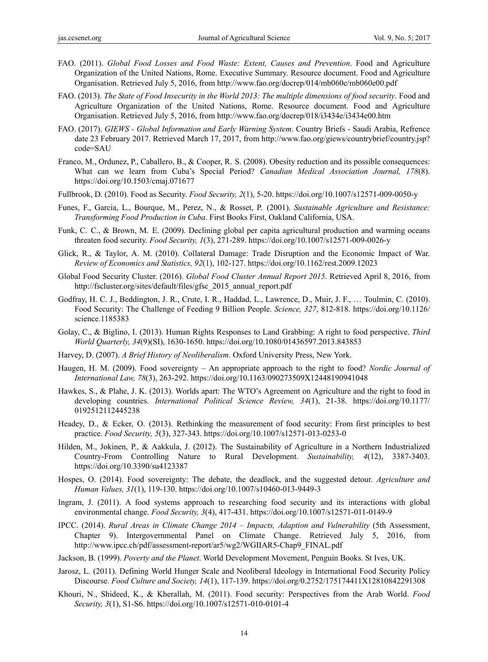- FAO. (2011). *Global Food Losses and Food Waste: Extent, Causes and Prevention*. Food and Agriculture Organization of the United Nations, Rome. Executive Summary. Resource document. Food and Agriculture Organisation. Retrieved July 5, 2016, from http://www.fao.org/docrep/014/mb060e/mb060e00.pdf
- FAO. (2013). *The State of Food Insecurity in the World 2013: The multiple dimensions of food security*. Food and Agriculture Organization of the United Nations, Rome. Resource document. Food and Agriculture Organisation. Retrieved July 5, 2016, from http://www.fao.org/docrep/018/i3434e/i3434e00.htm
- FAO. (2017). *GIEWS Global Information and Early Warning System*. Country Briefs Saudi Arabia, Refrence date 23 February 2017. Retrieved March 17, 2017, from http://www.fao.org/giews/countrybrief/country.jsp? code=SAU
- Franco, M., Ordunez, P., Caballero, B., & Cooper, R. S. (2008). Obesity reduction and its possible consequences: What can we learn from Cuba's Special Period? *Canadian Medical Association Journal, 178*(8). https://doi.org/10.1503/cmaj.071677
- Fullbrook, D. (2010). Food as Security. *Food Security, 2*(1), 5-20. https://doi.org/10.1007/s12571-009-0050-y
- Funes, F., Garcia, L., Bourque, M., Perez, N., & Rosset, P. (2001). *Sustainable Agriculture and Resistance: Transforming Food Production in Cuba*. First Books First, Oakland California, USA.
- Funk, C. C., & Brown, M. E. (2009). Declining global per capita agricultural production and warming oceans threaten food security. *Food Security, 1*(3), 271-289. https://doi.org/10.1007/s12571-009-0026-y
- Glick, R., & Taylor, A. M. (2010). Collateral Damage: Trade Disruption and the Economic Impact of War. *Review of Economics and Statistics, 92*(1), 102-127. https://doi.org/10.1162/rest.2009.12023
- Global Food Security Cluster. (2016). *Global Food Cluster Annual Report 2015*. Retrieved April 8, 2016, from http://fscluster.org/sites/default/files/gfsc\_2015\_annual\_report.pdf
- Godfray, H. C. J., Beddington, J. R., Crute, I. R., Haddad, L., Lawrence, D., Muir, J. F., ... Toulmin, C. (2010). Food Security: The Challenge of Feeding 9 Billion People. *Science, 327*, 812-818. https://doi.org/10.1126/ science.1185383
- Golay, C., & Biglino, I. (2013). Human Rights Responses to Land Grabbing: A right to food perspective. *Third World Quarterly, 34*(9)(SI), 1630-1650. https://doi.org/10.1080/01436597.2013.843853
- Harvey, D. (2007). *A Brief History of Neoliberalism*. Oxford University Press, New York.
- Haugen, H. M. (2009). Food sovereignty An appropriate approach to the right to food? *Nordic Journal of International Law, 78*(3), 263-292. https://doi.org/10.1163/090273509X12448190941048
- Hawkes, S., & Plahe, J. K. (2013). Worlds apart: The WTO's Agreement on Agriculture and the right to food in developing countries. *International Political Science Review, 34*(1), 21-38. https://doi.org/10.1177/ 0192512112445238
- Headey, D., & Ecker, O. (2013). Rethinking the measurement of food security: From first principles to best practice. *Food Security, 5*(3), 327-343. https://doi.org/10.1007/s12571-013-0253-0
- Hilden, M., Jokinen, P., & Aakkula, J. (2012). The Sustainability of Agriculture in a Northern Industrialized Country-From Controlling Nature to Rural Development. *Sustainability, 4*(12), 3387-3403. https://doi.org/10.3390/su4123387
- Hospes, O. (2014). Food sovereignty: The debate, the deadlock, and the suggested detour. *Agriculture and Human Values, 31*(1), 119-130. https://doi.org/10.1007/s10460-013-9449-3
- Ingram, J. (2011). A food systems approach to researching food security and its interactions with global environmental change. *Food Security, 3*(4), 417-431. https://doi.org/10.1007/s12571-011-0149-9
- IPCC. (2014). *Rural Areas in Climate Change 2014 Impacts, Adaption and Vulnerability* (5th Assessment, Chapter 9). Intergovernmental Panel on Climate Change. Retrieved July 5, 2016, from http://www.ipcc.ch/pdf/assessment-report/ar5/wg2/WGIIAR5-Chap9\_FINAL.pdf
- Jackson, B. (1999). *Poverty and the Planet*. World Development Movement, Penguin Books. St Ives, UK.
- Jarosz, L. (2011). Defining World Hunger Scale and Neoliberal Ideology in International Food Security Policy Discourse. *Food Culture and Society, 14*(1), 117-139. https://doi.org/0.2752/175174411X12810842291308
- Khouri, N., Shideed, K., & Kherallah, M. (2011). Food security: Perspectives from the Arab World. *Food Security, 3*(1), S1-S6. https://doi.org/10.1007/s12571-010-0101-4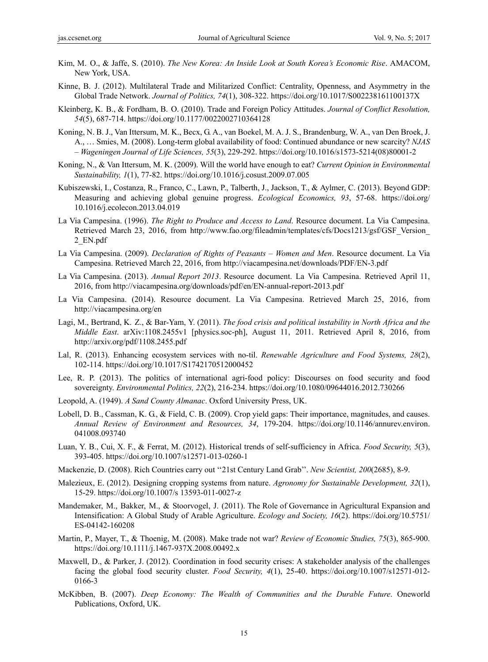- Kim, M. O., & Jaffe, S. (2010). *The New Korea: An Inside Look at South Korea's Economic Rise*. AMACOM, New York, USA.
- Kinne, B. J. (2012). Multilateral Trade and Militarized Conflict: Centrality, Openness, and Asymmetry in the Global Trade Network. *Journal of Politics, 74*(1), 308-322. https://doi.org/10.1017/S002238161100137X
- Kleinberg, K. B., & Fordham, B. O. (2010). Trade and Foreign Policy Attitudes. *Journal of Conflict Resolution, 54*(5), 687-714. https://doi.org/10.1177/0022002710364128
- Koning, N. B. J., Van Ittersum, M. K., Becx, G. A., van Boekel, M. A. J. S., Brandenburg, W. A., van Den Broek, J. A., … Smies, M. (2008). Long-term global availability of food: Continued abundance or new scarcity? *NJAS – Wageningen Journal of Life Sciences, 55*(3), 229-292. https://doi.org/10.1016/s1573-5214(08)80001-2
- Koning, N., & Van Ittersum, M. K. (2009). Will the world have enough to eat? *Current Opinion in Environmental Sustainability, 1*(1), 77-82. https://doi.org/10.1016/j.cosust.2009.07.005
- Kubiszewski, I., Costanza, R., Franco, C., Lawn, P., Talberth, J., Jackson, T., & Aylmer, C. (2013). Beyond GDP: Measuring and achieving global genuine progress. *Ecological Economics, 93*, 57-68. https://doi.org/ 10.1016/j.ecolecon.2013.04.019
- La Via Campesina. (1996). *The Right to Produce and Access to Land*. Resource document. La Via Campesina. Retrieved March 23, 2016, from http://www.fao.org/fileadmin/templates/cfs/Docs1213/gsf/GSF\_Version\_ 2\_EN.pdf
- La Via Campesina. (2009). *Declaration of Rights of Peasants Women and Men*. Resource document. La Via Campesina. Retrieved March 22, 2016, from http://viacampesina.net/downloads/PDF/EN-3.pdf
- La Via Campesina. (2013). *Annual Report 2013*. Resource document. La Via Campesina. Retrieved April 11, 2016, from http://viacampesina.org/downloads/pdf/en/EN-annual-report-2013.pdf
- La Via Campesina. (2014). Resource document. La Via Campesina. Retrieved March 25, 2016, from http://viacampesina.org/en
- Lagi, M., Bertrand, K. Z., & Bar-Yam, Y. (2011). *The food crisis and political instability in North Africa and the Middle East*. arXiv:1108.2455v1 [physics.soc-ph], August 11, 2011. Retrieved April 8, 2016, from http://arxiv.org/pdf/1108.2455.pdf
- Lal, R. (2013). Enhancing ecosystem services with no-til. *Renewable Agriculture and Food Systems, 28*(2), 102-114. https://doi.org/10.1017/S1742170512000452
- Lee, R. P. (2013). The politics of international agri-food policy: Discourses on food security and food sovereignty. *Environmental Politics, 22*(2), 216-234. https://doi.org/10.1080/09644016.2012.730266
- Leopold, A. (1949). *A Sand County Almanac*. Oxford University Press, UK.
- Lobell, D. B., Cassman, K. G., & Field, C. B. (2009). Crop yield gaps: Their importance, magnitudes, and causes. *Annual Review of Environment and Resources, 34*, 179-204. https://doi.org/10.1146/annurev.environ. 041008.093740
- Luan, Y. B., Cui, X. F., & Ferrat, M. (2012). Historical trends of self-sufficiency in Africa. *Food Security, 5*(3), 393-405. https://doi.org/10.1007/s12571-013-0260-1
- Mackenzie, D. (2008). Rich Countries carry out ''21st Century Land Grab''. *New Scientist, 200*(2685), 8-9.
- Malezieux, E. (2012). Designing cropping systems from nature. *Agronomy for Sustainable Development, 32*(1), 15-29. https://doi.org/10.1007/s 13593-011-0027-z
- Mandemaker, M., Bakker, M., & Stoorvogel, J. (2011). The Role of Governance in Agricultural Expansion and Intensification: A Global Study of Arable Agriculture. *Ecology and Society, 16*(2). https://doi.org/10.5751/ ES-04142-160208
- Martin, P., Mayer, T., & Thoenig, M. (2008). Make trade not war? *Review of Economic Studies, 75*(3), 865-900. https://doi.org/10.1111/j.1467-937X.2008.00492.x
- Maxwell, D., & Parker, J. (2012). Coordination in food security crises: A stakeholder analysis of the challenges facing the global food security cluster. *Food Security, 4*(1), 25-40. https://doi.org/10.1007/s12571-012- 0166-3
- McKibben, B. (2007). *Deep Economy: The Wealth of Communities and the Durable Future*. Oneworld Publications, Oxford, UK.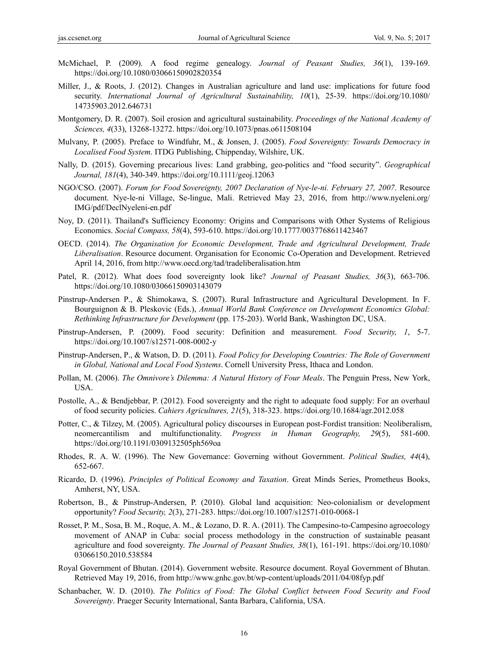- McMichael, P. (2009). A food regime genealogy. *Journal of Peasant Studies, 36*(1), 139-169. https://doi.org/10.1080/03066150902820354
- Miller, J., & Roots, J. (2012). Changes in Australian agriculture and land use: implications for future food security. *International Journal of Agricultural Sustainability, 10*(1), 25-39. https://doi.org/10.1080/ 14735903.2012.646731
- Montgomery, D. R. (2007). Soil erosion and agricultural sustainability. *Proceedings of the National Academy of Sciences, 4*(33), 13268-13272. https://doi.org/10.1073/pnas.o611508104
- Mulvany, P. (2005). Preface to Windfuhr, M., & Jonsen, J. (2005). *Food Sovereignty: Towards Democracy in Localised Food System*. ITDG Publishing, Chippenday, Wilshire, UK.
- Nally, D. (2015). Governing precarious lives: Land grabbing, geo-politics and "food security". *Geographical Journal, 181*(4), 340-349. https://doi.org/10.1111/geoj.12063
- NGO/CSO. (2007). *Forum for Food Sovereignty, 2007 Declaration of Nye-le-ni. February 27, 2007*. Resource document. Nye-le-ni Village, Se-lingue, Mali. Retrieved May 23, 2016, from http://www.nyeleni.org/ IMG/pdf/DeclNyeleni-en.pdf
- Noy, D. (2011). Thailand's Sufficiency Economy: Origins and Comparisons with Other Systems of Religious Economics. *Social Compass, 58*(4), 593-610. https://doi.org/10.1777/0037768611423467
- OECD. (2014). *The Organisation for Economic Development, Trade and Agricultural Development, Trade Liberalisation*. Resource document. Organisation for Economic Co-Operation and Development. Retrieved April 14, 2016, from http://www.oecd.org/tad/tradeliberalisation.htm
- Patel, R. (2012). What does food sovereignty look like? *Journal of Peasant Studies, 36*(3), 663-706. https://doi.org/10.1080/03066150903143079
- Pinstrup-Andersen P., & Shimokawa, S. (2007). Rural Infrastructure and Agricultural Development. In F. Bourguignon & B. Pleskovic (Eds.), *Annual World Bank Conference on Development Economics Global: Rethinking Infrastructure for Development* (pp. 175-203). World Bank, Washington DC, USA.
- Pinstrup-Andersen, P. (2009). Food security: Definition and measurement. *Food Security, 1*, 5-7. https://doi.org/10.1007/s12571-008-0002-y
- Pinstrup-Andersen, P., & Watson, D. D. (2011). *Food Policy for Developing Countries: The Role of Government in Global, National and Local Food Systems*. Cornell University Press, Ithaca and London.
- Pollan, M. (2006). *The Omnivore's Dilemma: A Natural History of Four Meals*. The Penguin Press, New York, USA.
- Postolle, A., & Bendjebbar, P. (2012). Food sovereignty and the right to adequate food supply: For an overhaul of food security policies. *Cahiers Agricultures, 21*(5), 318-323. https://doi.org/10.1684/agr.2012.058
- Potter, C., & Tilzey, M. (2005). Agricultural policy discourses in European post-Fordist transition: Neoliberalism, neomercantilism and multifunctionality. *Progress in Human Geography, 29*(5), 581-600. https://doi.org/10.1191/0309132505ph569oa
- Rhodes, R. A. W. (1996). The New Governance: Governing without Government. *Political Studies, 44*(4), 652-667.
- Ricardo, D. (1996). *Principles of Political Economy and Taxation*. Great Minds Series, Prometheus Books, Amherst, NY, USA.
- Robertson, B., & Pinstrup-Andersen, P. (2010). Global land acquisition: Neo-colonialism or development opportunity? *Food Security, 2*(3), 271-283. https://doi.org/10.1007/s12571-010-0068-1
- Rosset, P. M., Sosa, B. M., Roque, A. M., & Lozano, D. R. A. (2011). The Campesino-to-Campesino agroecology movement of ANAP in Cuba: social process methodology in the construction of sustainable peasant agriculture and food sovereignty. *The Journal of Peasant Studies, 38*(1), 161-191. https://doi.org/10.1080/ 03066150.2010.538584
- Royal Government of Bhutan. (2014). Government website. Resource document. Royal Government of Bhutan. Retrieved May 19, 2016, from http://www.gnhc.gov.bt/wp-content/uploads/2011/04/08fyp.pdf
- Schanbacher, W. D. (2010). *The Politics of Food: The Global Conflict between Food Security and Food Sovereignty*. Praeger Security International, Santa Barbara, California, USA.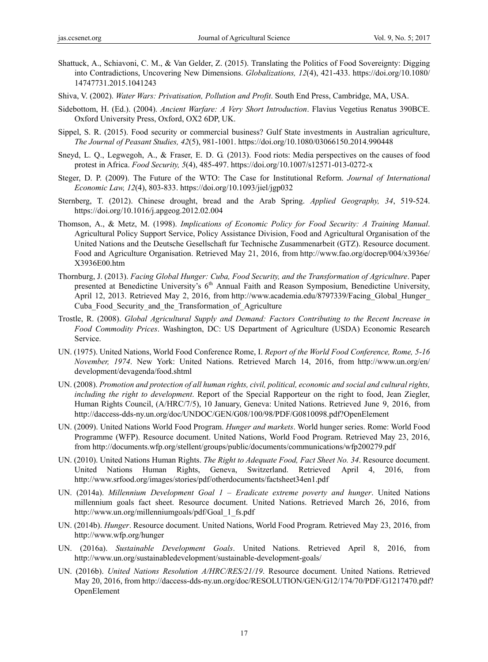- Shattuck, A., Schiavoni, C. M., & Van Gelder, Z. (2015). Translating the Politics of Food Sovereignty: Digging into Contradictions, Uncovering New Dimensions. *Globalizations, 12*(4), 421-433. https://doi.org/10.1080/ 14747731.2015.1041243
- Shiva, V. (2002). *Water Wars: Privatisation, Pollution and Profit*. South End Press, Cambridge, MA, USA.
- Sidebottom, H. (Ed.). (2004). *Ancient Warfare: A Very Short Introduction*. Flavius Vegetius Renatus 390BCE. Oxford University Press, Oxford, OX2 6DP, UK.
- Sippel, S. R. (2015). Food security or commercial business? Gulf State investments in Australian agriculture, *The Journal of Peasant Studies, 42*(5), 981-1001. https://doi.org/10.1080/03066150.2014.990448
- Sneyd, L. Q., Legwegoh, A., & Fraser, E. D. G. (2013). Food riots: Media perspectives on the causes of food protest in Africa. *Food Security, 5*(4), 485-497. https://doi.org/10.1007/s12571-013-0272-x
- Steger, D. P. (2009). The Future of the WTO: The Case for Institutional Reform. *Journal of International Economic Law, 12*(4), 803-833. https://doi.org/10.1093/jiel/jgp032
- Sternberg, T. (2012). Chinese drought, bread and the Arab Spring. *Applied Geography, 34*, 519-524. https://doi.org/10.1016/j.apgeog.2012.02.004
- Thomson, A., & Metz, M. (1998). *Implications of Economic Policy for Food Security: A Training Manual*. Agricultural Policy Support Service, Policy Assistance Division, Food and Agricultural Organisation of the United Nations and the Deutsche Gesellschaft fur Technische Zusammenarbeit (GTZ). Resource document. Food and Agriculture Organisation. Retrieved May 21, 2016, from http://www.fao.org/docrep/004/x3936e/ X3936E00.htm
- Thornburg, J. (2013). *Facing Global Hunger: Cuba, Food Security, and the Transformation of Agriculture*. Paper presented at Benedictine University's 6<sup>th</sup> Annual Faith and Reason Symposium, Benedictine University, April 12, 2013. Retrieved May 2, 2016, from http://www.academia.edu/8797339/Facing\_Global\_Hunger\_ Cuba Food Security and the Transformation of Agriculture
- Trostle, R. (2008). *Global Agricultural Supply and Demand: Factors Contributing to the Recent Increase in Food Commodity Prices*. Washington, DC: US Department of Agriculture (USDA) Economic Research Service.
- UN. (1975). United Nations, World Food Conference Rome, I. *Report of the World Food Conference, Rome, 5-16 November, 1974*. New York: United Nations. Retrieved March 14, 2016, from http://www.un.org/en/ development/devagenda/food.shtml
- UN. (2008). *Promotion and protection of all human rights, civil, political, economic and social and cultural rights, including the right to development*. Report of the Special Rapporteur on the right to food, Jean Ziegler, Human Rights Council, (A/HRC/7/5), 10 January, Geneva: United Nations. Retrieved June 9, 2016, from http://daccess-dds-ny.un.org/doc/UNDOC/GEN/G08/100/98/PDF/G0810098.pdf?OpenElement
- UN. (2009). United Nations World Food Program. *Hunger and markets*. World hunger series. Rome: World Food Programme (WFP). Resource document. United Nations, World Food Program. Retrieved May 23, 2016, from http://documents.wfp.org/stellent/groups/public/documents/communications/wfp200279.pdf
- UN. (2010). United Nations Human Rights. *The Right to Adequate Food, Fact Sheet No. 34*. Resource document. United Nations Human Rights, Geneva, Switzerland. Retrieved April 4, 2016, from http://www.srfood.org/images/stories/pdf/otherdocuments/factsheet34en1.pdf
- UN. (2014a). *Millennium Development Goal 1 Eradicate extreme poverty and hunger*. United Nations millennium goals fact sheet. Resource document. United Nations. Retrieved March 26, 2016, from http://www.un.org/millenniumgoals/pdf/Goal\_1\_fs.pdf
- UN. (2014b). *Hunger*. Resource document. United Nations, World Food Program. Retrieved May 23, 2016, from http://www.wfp.org/hunger
- UN. (2016a). *Sustainable Development Goals*. United Nations. Retrieved April 8, 2016, from http://www.un.org/sustainabledevelopment/sustainable-development-goals/
- UN. (2016b). *United Nations Resolution A/HRC/RES/21/19*. Resource document. United Nations. Retrieved May 20, 2016, from http://daccess-dds-ny.un.org/doc/RESOLUTION/GEN/G12/174/70/PDF/G1217470.pdf? OpenElement